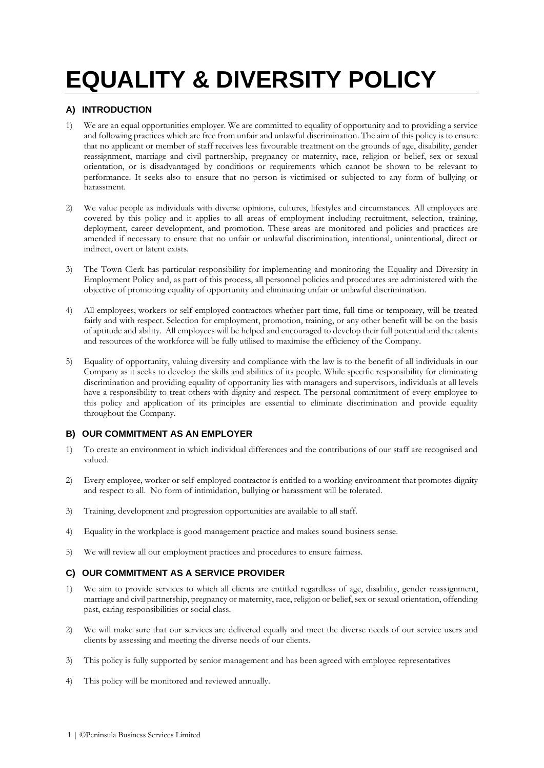# **EQUALITY & DIVERSITY POLICY**

# **A) INTRODUCTION**

- 1) We are an equal opportunities employer. We are committed to equality of opportunity and to providing a service and following practices which are free from unfair and unlawful discrimination. The aim of this policy is to ensure that no applicant or member of staff receives less favourable treatment on the grounds of age, disability, gender reassignment, marriage and civil partnership, pregnancy or maternity, race, religion or belief, sex or sexual orientation, or is disadvantaged by conditions or requirements which cannot be shown to be relevant to performance. It seeks also to ensure that no person is victimised or subjected to any form of bullying or harassment.
- 2) We value people as individuals with diverse opinions, cultures, lifestyles and circumstances. All employees are covered by this policy and it applies to all areas of employment including recruitment, selection, training, deployment, career development, and promotion. These areas are monitored and policies and practices are amended if necessary to ensure that no unfair or unlawful discrimination, intentional, unintentional, direct or indirect, overt or latent exists.
- 3) The Town Clerk has particular responsibility for implementing and monitoring the Equality and Diversity in Employment Policy and, as part of this process, all personnel policies and procedures are administered with the objective of promoting equality of opportunity and eliminating unfair or unlawful discrimination.
- 4) All employees, workers or self-employed contractors whether part time, full time or temporary, will be treated fairly and with respect. Selection for employment, promotion, training, or any other benefit will be on the basis of aptitude and ability. All employees will be helped and encouraged to develop their full potential and the talents and resources of the workforce will be fully utilised to maximise the efficiency of the Company.
- 5) Equality of opportunity, valuing diversity and compliance with the law is to the benefit of all individuals in our Company as it seeks to develop the skills and abilities of its people. While specific responsibility for eliminating discrimination and providing equality of opportunity lies with managers and supervisors, individuals at all levels have a responsibility to treat others with dignity and respect. The personal commitment of every employee to this policy and application of its principles are essential to eliminate discrimination and provide equality throughout the Company.

# **B) OUR COMMITMENT AS AN EMPLOYER**

- 1) To create an environment in which individual differences and the contributions of our staff are recognised and valued.
- 2) Every employee, worker or self-employed contractor is entitled to a working environment that promotes dignity and respect to all. No form of intimidation, bullying or harassment will be tolerated.
- 3) Training, development and progression opportunities are available to all staff.
- 4) Equality in the workplace is good management practice and makes sound business sense.
- 5) We will review all our employment practices and procedures to ensure fairness.

# **C) OUR COMMITMENT AS A SERVICE PROVIDER**

- 1) We aim to provide services to which all clients are entitled regardless of age, disability, gender reassignment, marriage and civil partnership, pregnancy or maternity, race, religion or belief, sex or sexual orientation, offending past, caring responsibilities or social class.
- 2) We will make sure that our services are delivered equally and meet the diverse needs of our service users and clients by assessing and meeting the diverse needs of our clients.
- 3) This policy is fully supported by senior management and has been agreed with employee representatives
- 4) This policy will be monitored and reviewed annually.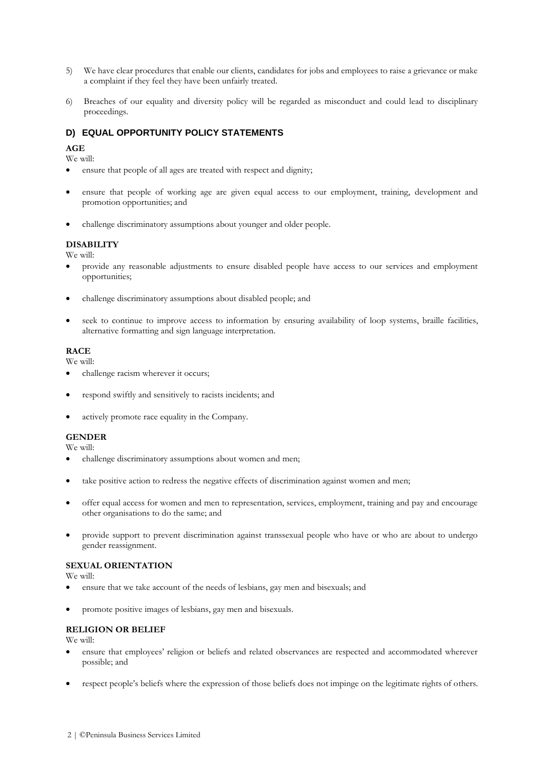- 5) We have clear procedures that enable our clients, candidates for jobs and employees to raise a grievance or make a complaint if they feel they have been unfairly treated.
- 6) Breaches of our equality and diversity policy will be regarded as misconduct and could lead to disciplinary proceedings.

# **D) EQUAL OPPORTUNITY POLICY STATEMENTS**

## **AGE**

We will:

- ensure that people of all ages are treated with respect and dignity;
- ensure that people of working age are given equal access to our employment, training, development and promotion opportunities; and
- challenge discriminatory assumptions about younger and older people.

## **DISABILITY**

We will:

- provide any reasonable adjustments to ensure disabled people have access to our services and employment opportunities;
- challenge discriminatory assumptions about disabled people; and
- seek to continue to improve access to information by ensuring availability of loop systems, braille facilities, alternative formatting and sign language interpretation.

#### **RACE**

We will:

- challenge racism wherever it occurs;
- respond swiftly and sensitively to racists incidents; and
- actively promote race equality in the Company.

### **GENDER**

We will:

- challenge discriminatory assumptions about women and men;
- take positive action to redress the negative effects of discrimination against women and men;
- offer equal access for women and men to representation, services, employment, training and pay and encourage other organisations to do the same; and
- provide support to prevent discrimination against transsexual people who have or who are about to undergo gender reassignment.

#### **SEXUAL ORIENTATION**

We will:

- ensure that we take account of the needs of lesbians, gay men and bisexuals; and
- promote positive images of lesbians, gay men and bisexuals.

### **RELIGION OR BELIEF**

We will:

- ensure that employees' religion or beliefs and related observances are respected and accommodated wherever possible; and
- respect people's beliefs where the expression of those beliefs does not impinge on the legitimate rights of others.